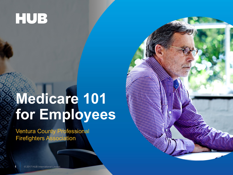### **HUB**

## **Medicare 101 for Employees**

Ventura County Professional Firefighters Association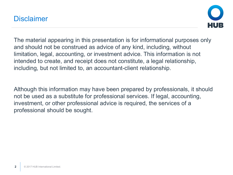#### **Disclaimer**



The material appearing in this presentation is for informational purposes only and should not be construed as advice of any kind, including, without limitation, legal, accounting, or investment advice. This information is not intended to create, and receipt does not constitute, a legal relationship, including, but not limited to, an accountant-client relationship.

Although this information may have been prepared by professionals, it should not be used as a substitute for professional services. If legal, accounting, investment, or other professional advice is required, the services of a professional should be sought.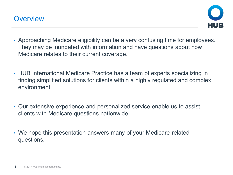



- Approaching Medicare eligibility can be a very confusing time for employees. They may be inundated with information and have questions about how Medicare relates to their current coverage.
- HUB International Medicare Practice has a team of experts specializing in finding simplified solutions for clients within a highly regulated and complex environment.
- Our extensive experience and personalized service enable us to assist clients with Medicare questions nationwide.
- We hope this presentation answers many of your Medicare-related questions.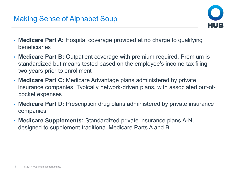#### Making Sense of Alphabet Soup



- **Medicare Part A:** Hospital coverage provided at no charge to qualifying beneficiaries
- **Medicare Part B:** Outpatient coverage with premium required. Premium is standardized but means tested based on the employee's income tax filing two years prior to enrollment
- **Medicare Part C:** Medicare Advantage plans administered by private insurance companies. Typically network-driven plans, with associated out-ofpocket expenses
- **Medicare Part D:** Prescription drug plans administered by private insurance companies
- **Medicare Supplements:** Standardized private insurance plans A-N, designed to supplement traditional Medicare Parts A and B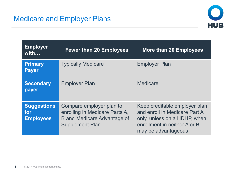

| <b>Employer</b><br>with                       | <b>Fewer than 20 Employees</b>                                                                                             | <b>More than 20 Employees</b>                                                                                                                         |
|-----------------------------------------------|----------------------------------------------------------------------------------------------------------------------------|-------------------------------------------------------------------------------------------------------------------------------------------------------|
| <b>Primary</b><br><b>Payer</b>                | <b>Typically Medicare</b>                                                                                                  | <b>Employer Plan</b>                                                                                                                                  |
| <b>Secondary</b><br>payer                     | <b>Employer Plan</b>                                                                                                       | <b>Medicare</b>                                                                                                                                       |
| <b>Suggestions</b><br>for<br><b>Employees</b> | Compare employer plan to<br>enrolling in Medicare Parts A,<br><b>B</b> and Medicare Advantage of<br><b>Supplement Plan</b> | Keep creditable employer plan<br>and enroll in Medicare Part A<br>only, unless on a HDHP, when<br>enrollment in neither A or B<br>may be advantageous |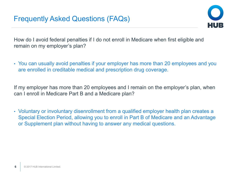

How do I avoid federal penalties if I do not enroll in Medicare when first eligible and remain on my employer's plan?

• You can usually avoid penalties if your employer has more than 20 employees and you are enrolled in creditable medical and prescription drug coverage.

If my employer has more than 20 employees and I remain on the employer's plan, when can I enroll in Medicare Part B and a Medicare plan?

• Voluntary or involuntary disenrollment from a qualified employer health plan creates a Special Election Period, allowing you to enroll in Part B of Medicare and an Advantage or Supplement plan without having to answer any medical questions.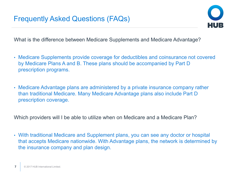

What is the difference between Medicare Supplements and Medicare Advantage?

- Medicare Supplements provide coverage for deductibles and coinsurance not covered by Medicare Plans A and B. These plans should be accompanied by Part D prescription programs.
- Medicare Advantage plans are administered by a private insurance company rather than traditional Medicare. Many Medicare Advantage plans also include Part D prescription coverage.

Which providers will I be able to utilize when on Medicare and a Medicare Plan?

• With traditional Medicare and Supplement plans, you can see any doctor or hospital that accepts Medicare nationwide. With Advantage plans, the network is determined by the insurance company and plan design.